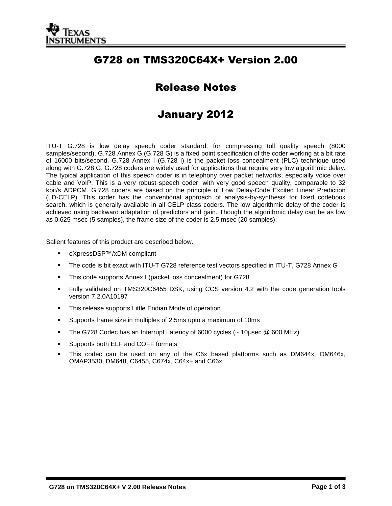

# G728 on TMS320C64X+ Version 2.00

# Release Notes

## January 2012

ITU-T G.728 is low delay speech coder standard, for compressing toll quality speech (8000 samples/second). G.728 Annex G (G.728 G) is a fixed point specification of the coder working at a bit rate of 16000 bits/second. G.728 Annex I (G.728 I) is the packet loss concealment (PLC) technique used along with G.728 G. G.728 coders are widely used for applications that require very low algorithmic delay. The typical application of this speech coder is in telephony over packet networks, especially voice over cable and VoIP. This is a very robust speech coder, with very good speech quality, comparable to 32 kbit/s ADPCM. G.728 coders are based on the principle of Low Delay-Code Excited Linear Prediction (LD-CELP). This coder has the conventional approach of analysis-by-synthesis for fixed codebook search, which is generally available in all CELP class coders. The low algorithmic delay of the coder is achieved using backward adaptation of predictors and gain. Though the algorithmic delay can be as low as 0.625 msec (5 samples), the frame size of the coder is 2.5 msec (20 samples).

Salient features of this product are described below.

- eXpressDSP™/xDM compliant
- The code is bit exact with ITU-T G728 reference test vectors specified in ITU-T, G728 Annex G
- **This code supports Annex I (packet loss concealment) for G728.**
- Fully validated on TMS320C6455 DSK, using CCS version 4.2 with the code generation tools version 7.2.0A10197
- **This release supports Little Endian Mode of operation**
- Supports frame size in multiples of 2.5ms upto a maximum of 10ms
- The G728 Codec has an Interrupt Latency of 6000 cycles (~ 10µsec @ 600 MHz)
- Supports both ELF and COFF formats
- This codec can be used on any of the C6x based platforms such as DM644x, DM646x, OMAP3530, DM648, C6455, C674x, C64x+ and C66x.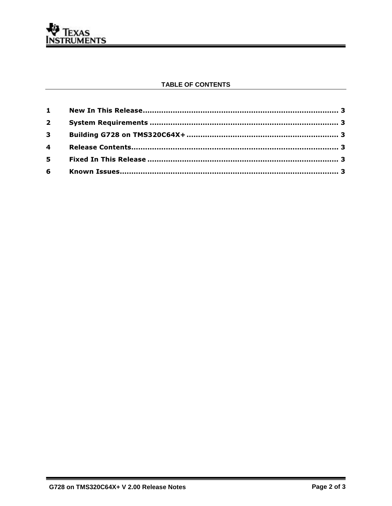

#### **TABLE OF CONTENTS**

| $2^{\circ}$    |  |
|----------------|--|
| 3 <sup>7</sup> |  |
| $\overline{4}$ |  |
| $5^{\circ}$    |  |
| $6\qquad$      |  |